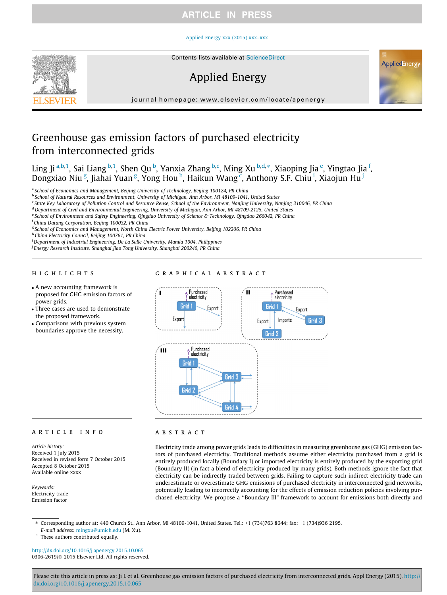## **ARTICLE IN PRESS**

### [Applied Energy xxx \(2015\) xxx–xxx](http://dx.doi.org/10.1016/j.apenergy.2015.10.065)



# Applied Energy



journal homepage: [www.elsevier.com/locate/apenergy](http://www.elsevier.com/locate/apenergy)

# Greenhouse gas emission factors of purchased electricity from interconnected grids

Ling Ji <sup>a,b,1</sup>, Sai Liang <sup>b,1</sup>, Shen Qu <sup>b</sup>, Yanxia Zhang <sup>b,c</sup>, Ming Xu <sup>b,d,\*</sup>, Xiaoping Jia <sup>e</sup>, Yingtao Jia <sup>f</sup>, Dongxiao Niu<sup>g</sup>, Jiahai Yuan<sup>g</sup>, Yong Houh, Haikun Wang<sup>c</sup>, Anthony S.F. Chiu<sup>i</sup>, Xiaojun Hu<sup>j</sup>

<sup>a</sup> School of Economics and Management, Beijing University of Technology, Beijing 100124, PR China

<sup>b</sup> School of Natural Resources and Environment, University of Michigan, Ann Arbor, MI 48109-1041, United States

<sup>c</sup> State Key Laboratory of Pollution Control and Resource Reuse, School of the Environment, Nanjing University, Nanjing 210046, PR China

<sup>d</sup> Department of Civil and Environmental Engineering, University of Michigan, Ann Arbor, MI 48109-2125, United States

e School of Environment and Safety Engineering, Qingdao University of Science & Technology, Qingdao 266042, PR China

<sup>f</sup> China Datang Corporation, Beijing 100032, PR China

<sup>g</sup> School of Economics and Management, North China Electric Power University, Beijing 102206, PR China

h China Electricity Council, Beijing 100761, PR China

<sup>i</sup> Department of Industrial Engineering, De La Salle University, Manila 1004, Philippines

<sup>j</sup> Energy Research Institute, Shanghai Jiao Tong University, Shanghai 200240, PR China

# highlights are the second control of the second control of the second control of the second control of the second control of the second control of the second control of the second control of the second control of the secon

- A new accounting framework is proposed for GHG emission factors of power grids.
- Three cases are used to demonstrate the proposed framework.
- Comparisons with previous system boundaries approve the necessity.



### ARTICLE INFO

Article history: Received 1 July 2015 Received in revised form 7 October 2015 Accepted 8 October 2015 Available online xxxx

Keywords: Electricity trade Emission factor

Electricity trade among power grids leads to difficulties in measuring greenhouse gas (GHG) emission factors of purchased electricity. Traditional methods assume either electricity purchased from a grid is entirely produced locally (Boundary I) or imported electricity is entirely produced by the exporting grid (Boundary II) (in fact a blend of electricity produced by many grids). Both methods ignore the fact that electricity can be indirectly traded between grids. Failing to capture such indirect electricity trade can underestimate or overestimate GHG emissions of purchased electricity in interconnected grid networks, potentially leading to incorrectly accounting for the effects of emission reduction policies involving purchased electricity. We propose a ''Boundary III" framework to account for emissions both directly and

⇑ Corresponding author at: 440 Church St., Ann Arbor, MI 48109-1041, United States. Tel.: +1 (734)763 8644; fax: +1 (734)936 2195. E-mail address: [mingxu@umich.edu](mailto:mingxu@umich.edu) (M. Xu).

 $1$  These authors contributed equally.

<http://dx.doi.org/10.1016/j.apenergy.2015.10.065> 0306-2619/© 2015 Elsevier Ltd. All rights reserved.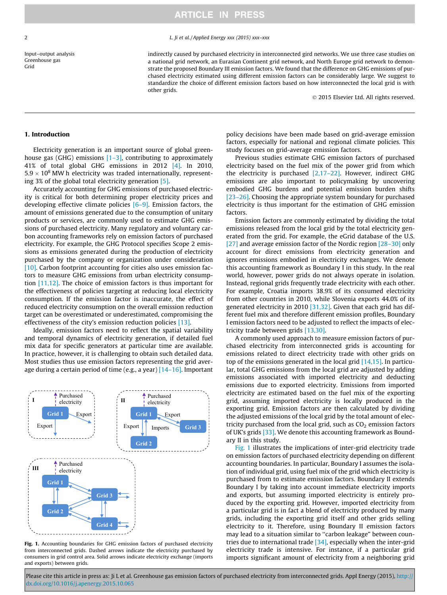Input–output analysis Greenhouse gas Grid

### <span id="page-1-0"></span>2  $\mu$ , *L* ii et al. */ Applied Energy xxx* (2015) xxx–xxx

indirectly caused by purchased electricity in interconnected gird networks. We use three case studies on a national grid network, an Eurasian Continent grid network, and North Europe grid network to demonstrate the proposed Boundary III emission factors. We found that the difference on GHG emissions of purchased electricity estimated using different emission factors can be considerably large. We suggest to standardize the choice of different emission factors based on how interconnected the local grid is with other grids.

2015 Elsevier Ltd. All rights reserved.

### 1. Introduction

Electricity generation is an important source of global greenhouse gas (GHG) emissions  $[1-3]$ , contributing to approximately 41% of total global GHG emissions in 2012 [\[4\]](#page-6-0). In 2010,  $5.9 \times 10^8$  MW h electricity was traded internationally, representing 3% of the global total electricity generation [\[5\].](#page-6-0)

Accurately accounting for GHG emissions of purchased electricity is critical for both determining proper electricity prices and developing effective climate policies  $[6-9]$ . Emission factors, the amount of emissions generated due to the consumption of unitary products or services, are commonly used to estimate GHG emissions of purchased electricity. Many regulatory and voluntary carbon accounting frameworks rely on emission factors of purchased electricity. For example, the GHG Protocol specifies Scope 2 emissions as emissions generated during the production of electricity purchased by the company or organization under consideration [\[10\]](#page-6-0). Carbon footprint accounting for cities also uses emission factors to measure GHG emissions from urban electricity consumption [\[11,12\].](#page-6-0) The choice of emission factors is thus important for the effectiveness of policies targeting at reducing local electricity consumption. If the emission factor is inaccurate, the effect of reduced electricity consumption on the overall emission reduction target can be overestimated or underestimated, compromising the effectiveness of the city's emission reduction policies [\[13\]](#page-6-0).

Ideally, emission factors need to reflect the spatial variability and temporal dynamics of electricity generation, if detailed fuel mix data for specific generators at particular time are available. In practice, however, it is challenging to obtain such detailed data. Most studies thus use emission factors representing the grid average during a certain period of time (e.g., a year)  $[14-16]$ . Important



Fig. 1. Accounting boundaries for GHG emission factors of purchased electricity from interconnected grids. Dashed arrows indicate the electricity purchased by consumers in grid control area. Solid arrows indicate electricity exchange (imports and exports) between grids.

policy decisions have been made based on grid-average emission factors, especially for national and regional climate policies. This study focuses on grid-average emission factors.

Previous studies estimate GHG emission factors of purchased electricity based on the fuel mix of the power grid from which the electricity is purchased [\[2,17–22\]](#page-6-0). However, indirect GHG emissions are also important to policymaking by uncovering embodied GHG burdens and potential emission burden shifts [\[23–26\]](#page-7-0). Choosing the appropriate system boundary for purchased electricity is thus important for the estimation of GHG emission factors.

Emission factors are commonly estimated by dividing the total emissions released from the local grid by the total electricity generated from the grid. For example, the eGrid database of the U.S. [\[27\]](#page-7-0) and average emission factor of the Nordic region [\[28–30\]](#page-7-0) only account for direct emissions from electricity generation and ignores emissions embodied in electricity exchanges. We denote this accounting framework as Boundary I in this study. In the real world, however, power grids do not always operate in isolation. Instead, regional grids frequently trade electricity with each other. For example, Croatia imports 38.9% of its consumed electricity from other countries in 2010, while Slovenia exports 44.0% of its generated electricity in 2010 [\[31,32\]](#page-7-0). Given that each grid has different fuel mix and therefore different emission profiles, Boundary I emission factors need to be adjusted to reflect the impacts of electricity trade between grids [\[13,30\].](#page-6-0)

A commonly used approach to measure emission factors of purchased electricity from interconnected grids is accounting for emissions related to direct electricity trade with other grids on top of the emissions generated in the local grid  $[14,15]$ . In particular, total GHG emissions from the local grid are adjusted by adding emissions associated with imported electricity and deducting emissions due to exported electricity. Emissions from imported electricity are estimated based on the fuel mix of the exporting grid, assuming imported electricity is locally produced in the exporting grid. Emission factors are then calculated by dividing the adjusted emissions of the local grid by the total amount of electricity purchased from the local grid, such as  $CO<sub>2</sub>$  emission factors of UK's grids [\[33\].](#page-7-0) We denote this accounting framework as Boundary II in this study.

Fig. 1 illustrates the implications of inter-grid electricity trade on emission factors of purchased electricity depending on different accounting boundaries. In particular, Boundary I assumes the isolation of individual grid, using fuel mix of the grid which electricity is purchased from to estimate emission factors. Boundary II extends Boundary I by taking into account immediate electricity imports and exports, but assuming imported electricity is entirely produced by the exporting grid. However, imported electricity from a particular grid is in fact a blend of electricity produced by many grids, including the exporting grid itself and other grids selling electricity to it. Therefore, using Boundary II emission factors may lead to a situation similar to ''carbon leakage" between countries due to international trade  $[34]$ , especially when the inter-grid electricity trade is intensive. For instance, if a particular grid imports significant amount of electricity from a neighboring grid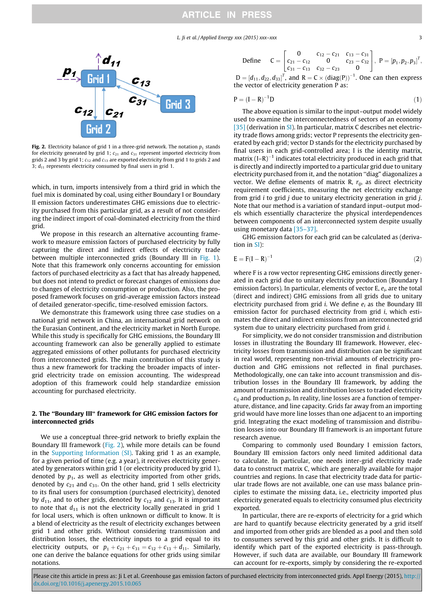L. Ji et al. / Applied Energy xxx (2015) xxx–xxx 3

<span id="page-2-0"></span>

Fig. 2. Electricity balance of grid 1 in a three-grid network. The notation  $p_1$  stands for electricity generated by grid 1;  $c_{21}$  and  $c_{31}$  represent imported electricity from grids 2 and 3 by grid 1;  $c_{12}$  and  $c_{13}$  are exported electricity from grid 1 to grids 2 and 3;  $d_{11}$  represents electricity consumed by final users in grid 1.

which, in turn, imports intensively from a third grid in which the fuel mix is dominated by coal, using either Boundary I or Boundary II emission factors underestimates GHG emissions due to electricity purchased from this particular grid, as a result of not considering the indirect import of coal-dominated electricity from the third grid.

We propose in this research an alternative accounting framework to measure emission factors of purchased electricity by fully capturing the direct and indirect effects of electricity trade between multiple interconnected grids (Boundary III in [Fig. 1\)](#page-1-0). Note that this framework only concerns accounting for emission factors of purchased electricity as a fact that has already happened, but does not intend to predict or forecast changes of emissions due to changes of electricity consumption or production. Also, the proposed framework focuses on grid-average emission factors instead of detailed generator-specific, time-resolved emission factors.

We demonstrate this framework using three case studies on a national grid network in China, an international grid network on the Eurasian Continent, and the electricity market in North Europe. While this study is specifically for GHG emissions, the Boundary III accounting framework can also be generally applied to estimate aggregated emissions of other pollutants for purchased electricity from interconnected grids. The main contribution of this study is thus a new framework for tracking the broader impacts of intergrid electricity trade on emission accounting. The widespread adoption of this framework could help standardize emission accounting for purchased electricity.

### 2. The ''Boundary III" framework for GHG emission factors for interconnected grids

We use a conceptual three-grid network to briefly explain the Boundary III framework (Fig. 2), while more details can be found in the Supporting Information (SI). Taking grid 1 as an example, for a given period of time (e.g. a year), it receives electricity generated by generators within grid 1 (or electricity produced by grid 1), denoted by  $p_1$ , as well as electricity imported from other grids, denoted by  $c_{21}$  and  $c_{31}$ . On the other hand, grid 1 sells electricity to its final users for consumption (purchased electricity), denoted by  $d_{11}$ , and to other grids, denoted by  $c_{12}$  and  $c_{13}$ . It is important to note that  $d_{11}$  is not the electricity locally generated in grid 1 for local users, which is often unknown or difficult to know. It is a blend of electricity as the result of electricity exchanges between grid 1 and other grids. Without considering transmission and distribution losses, the electricity inputs to a grid equal to its electricity outputs, or  $p_1 + c_{21} + c_{31} = c_{12} + c_{13} + d_{11}$ . Similarly, one can derive the balance equations for other grids using similar notations.

Define 
$$
C = \begin{bmatrix} 0 & c_{12} - c_{21} & c_{13} - c_{31} \ c_{21} - c_{12} & 0 & c_{23} - c_{32} \ c_{31} - c_{13} & c_{32} - c_{23} & 0 \end{bmatrix}
$$
,  $P = [p_1, p_2, p_3]^T$ .

 $D = [d_{11}, d_{22}, d_{33}]^{T}$ , and  $R = C \times (diag(P))^{-1}$ . One can then express the vector of electricity generation P as:

$$
P = (I - R)^{-1}D \tag{1}
$$

The above equation is similar to the input–output model widely used to examine the interconnectedness of sectors of an economy [\[35\]](#page-7-0) (derivation in SI). In particular, matrix C describes net electricity trade flows among grids; vector P represents the electricity generated by each grid; vector D stands for the electricity purchased by final users in each grid-controlled area; I is the identity matrix, matrix  $(I-R)^{-1}$  indicates total electricity produced in each grid that is directly and indirectly imported to a particular grid due to unitary electricity purchased from it, and the notation ''diag" diagonalizes a vector. We define elements of matrix R,  $r_{ii}$ , as direct electricity requirement coefficients, measuring the net electricity exchange from grid  $i$  to grid  $j$  due to unitary electricity generation in grid  $j$ . Note that our method is a variation of standard input–output models which essentially characterize the physical interdependences between components of an interconnected system despite usually using monetary data [\[35–37\]](#page-7-0).

GHG emission factors for each grid can be calculated as (derivation in SI):

$$
E = F(I - R)^{-1}
$$
 (2)

where F is a row vector representing GHG emissions directly generated in each grid due to unitary electricity production (Boundary I emission factors). In particular, elements of vector E,  $e_i$ , are the total (direct and indirect) GHG emissions from all grids due to unitary electricity purchased from grid *i*. We define  $e_i$  as the Boundary III emission factor for purchased electricity from grid i, which estimates the direct and indirect emissions from an interconnected grid system due to unitary electricity purchased from grid i.

For simplicity, we do not consider transmission and distribution losses in illustrating the Boundary III framework. However, electricity losses from transmission and distribution can be significant in real world, representing non-trivial amounts of electricity production and GHG emissions not reflected in final purchases. Methodologically, one can take into account transmission and distribution losses in the Boundary III framework, by adding the amount of transmission and distribution losses to traded electricity  $c_{ii}$  and production  $p_i$ . In reality, line losses are a function of temperature, distance, and line capacity. Grids far away from an importing grid would have more line losses than one adjacent to an importing grid. Integrating the exact modeling of transmission and distribution losses into our Boundary III framework is an important future research avenue.

Comparing to commonly used Boundary I emission factors, Boundary III emission factors only need limited additional data to calculate. In particular, one needs inter-grid electricity trade data to construct matrix C, which are generally available for major countries and regions. In case that electricity trade data for particular trade flows are not available, one can use mass balance principles to estimate the missing data, i.e., electricity imported plus electricity generated equals to electricity consumed plus electricity exported.

In particular, there are re-exports of electricity for a grid which are hard to quantify because electricity generated by a grid itself and imported from other grids are blended as a pool and then sold to consumers served by this grid and other grids. It is difficult to identify which part of the exported electricity is pass-through. However, if such data are available, our Boundary III framework can account for re-exports, simply by considering the re-exported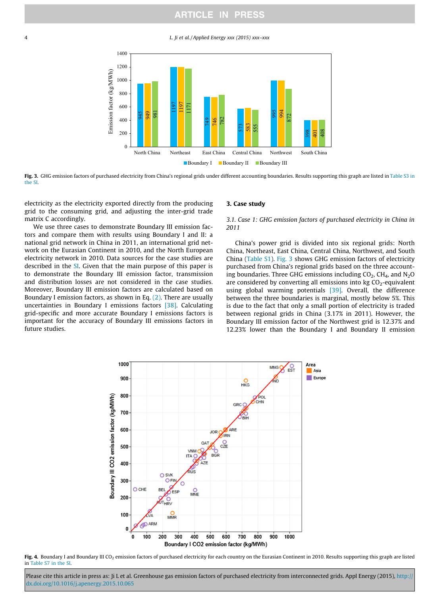### **ARTICLE IN PRESS**

<span id="page-3-0"></span>4 L. Ji et al. / Applied Energy xxx (2015) xxx–xxx



Fig. 3. GHG emission factors of purchased electricity from China's regional grids under different accounting boundaries. Results supporting this graph are listed in Table S3 in the SI.

electricity as the electricity exported directly from the producing grid to the consuming grid, and adjusting the inter-grid trade matrix C accordingly.

We use three cases to demonstrate Boundary III emission factors and compare them with results using Boundary I and II: a national grid network in China in 2011, an international grid network on the Eurasian Continent in 2010, and the North European electricity network in 2010. Data sources for the case studies are described in the SI. Given that the main purpose of this paper is to demonstrate the Boundary III emission factor, transmission and distribution losses are not considered in the case studies. Moreover, Boundary III emission factors are calculated based on Boundary I emission factors, as shown in Eq. [\(2\)](#page-2-0). There are usually uncertainties in Boundary I emissions factors [\[38\].](#page-7-0) Calculating grid-specific and more accurate Boundary I emissions factors is important for the accuracy of Boundary III emissions factors in future studies.

### 3. Case study

3.1. Case 1: GHG emission factors of purchased electricity in China in 2011

China's power grid is divided into six regional grids: North China, Northeast, East China, Central China, Northwest, and South China (Table S1). Fig. 3 shows GHG emission factors of electricity purchased from China's regional grids based on the three accounting boundaries. Three GHG emissions including  $CO<sub>2</sub>$ , CH<sub>4</sub>, and N<sub>2</sub>O are considered by converting all emissions into  $kg CO<sub>2</sub>$ -equivalent using global warming potentials [\[39\].](#page-7-0) Overall, the difference between the three boundaries is marginal, mostly below 5%. This is due to the fact that only a small portion of electricity is traded between regional grids in China (3.17% in 2011). However, the Boundary III emission factor of the Northwest grid is 12.37% and 12.23% lower than the Boundary I and Boundary II emission



Fig. 4. Boundary I and Boundary III CO<sub>2</sub> emission factors of purchased electricity for each country on the Eurasian Continent in 2010. Results supporting this graph are listed in Table S7 in the SI.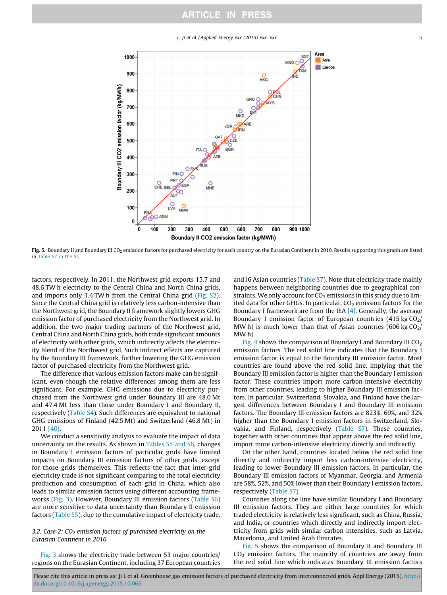L. Ii et al. / Applied Energy xxx (2015) xxx–xxx  $(5)$ 



Fig. 5. Boundary II and Boundary III CO<sub>2</sub> emission factors for purchased electricity for each country on the Eurasian Continent in 2010. Results supporting this graph are listed in Table S7 in the SI.

factors, respectively. In 2011, the Northwest grid exports 15.7 and 48.6 TW h electricity to the Central China and North China grids, and imports only 1.4 TW h from the Central China grid (Fig. S2). Since the Central China grid is relatively less carbon-intensive than the Northwest grid, the Boundary II framework slightly lowers GHG emission factor of purchased electricity from the Northwest grid. In addition, the two major trading partners of the Northwest grid, Central China and North China grids, both trade significant amounts of electricity with other grids, which indirectly affects the electricity blend of the Northwest grid. Such indirect effects are captured by the Boundary III framework, further lowering the GHG emission factor of purchased electricity from the Northwest grid.

The difference that various emission factors make can be significant, even though the relative differences among them are less significant. For example, GHG emissions due to electricity purchased from the Northwest grid under Boundary III are 48.0 Mt and 47.4 Mt less than those under Boundary I and Boundary II, respectively (Table S4). Such differences are equivalent to national GHG emissions of Finland (42.5 Mt) and Switzerland (46.8 Mt) in 2011 [\[40\].](#page-7-0)

We conduct a sensitivity analysis to evaluate the impact of data uncertainty on the results. As shown in Tables S5 and S6, changes in Boundary I emission factors of particular grids have limited impacts on Boundary III emission factors of other grids, except for those grids themselves. This reflects the fact that inter-grid electricity trade is not significant comparing to the total electricity production and consumption of each grid in China, which also leads to similar emission factors using different accounting frameworks ([Fig. 3\)](#page-3-0). However, Boundary III emission factors (Table S6) are more sensitive to data uncertainty than Boundary II emission factors (Table S5), due to the cumulative impact of electricity trade.

### 3.2. Case 2:  $CO<sub>2</sub>$  emission factors of purchased electricity on the Eurasian Continent in 2010

[Fig. 3](#page-3-0) shows the electricity trade between 53 major countries/ regions on the Eurasian Continent, including 37 European countries and16 Asian countries (Table S7). Note that electricity trade mainly happens between neighboring countries due to geographical constraints. We only account for  $CO<sub>2</sub>$  emissions in this study due to limited data for other GHGs. In particular,  $CO<sub>2</sub>$  emission factors for the Boundary I framework are from the IEA  $[4]$ . Generally, the average Boundary I emission factor of European countries  $(415 \text{ kg } CO<sub>2</sub>)$ MW h) is much lower than that of Asian countries (606 kg  $CO<sub>2</sub>/$ MW h).

[Fig. 4](#page-3-0) shows the comparison of Boundary I and Boundary III  $CO<sub>2</sub>$ emission factors. The red solid line indicates that the Boundary I emission factor is equal to the Boundary III emission factor. Most countries are found above the red solid line, implying that the Boundary III emission factor is higher than the Boundary I emission factor. These countries import more carbon-intensive electricity from other countries, leading to higher Boundary III emission factors. In particular, Switzerland, Slovakia, and Finland have the largest differences between Boundary I and Boundary III emission factors. The Boundary III emission factors are 823%, 69%, and 32% higher than the Boundary I emission factors in Switzerland, Slovakia, and Finland, respectively (Table S7). These countries, together with other countries that appear above the red solid line, import more carbon-intensive electricity directly and indirectly.

On the other hand, countries located below the red solid line directly and indirectly import less carbon-intensive electricity, leading to lower Boundary III emission factors. In particular, the Boundary III emission factors of Myanmar, Georgia, and Armenia are 58%, 52%, and 50% lower than their Boundary I emission factors, respectively (Table S7).

Countries along the line have similar Boundary I and Boundary III emission factors. They are either large countries for which traded electricity is relatively less significant, such as China, Russia, and India, or countries which directly and indirectly import electricity from grids with similar carbon intensities, such as Latvia, Macedonia, and United Arab Emirates.

Fig. 5 shows the comparison of Boundary II and Boundary III  $CO<sub>2</sub>$  emission factors. The majority of countries are away from the red solid line which indicates Boundary III emission factors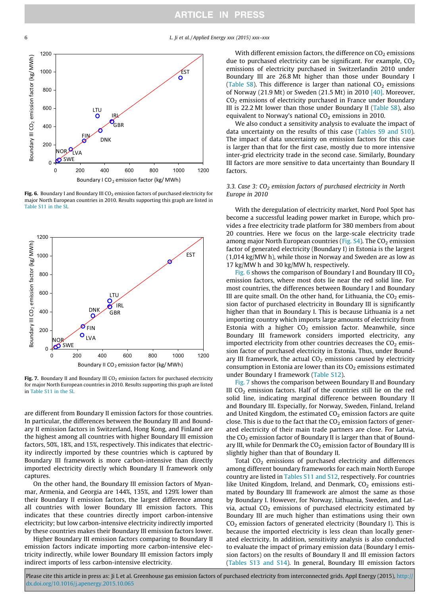6 L. Ji et al. / Applied Energy xxx (2015) xxx–xxx



Fig. 6. Boundary I and Boundary III  $CO<sub>2</sub>$  emission factors of purchased electricity for major North European countries in 2010. Results supporting this graph are listed in Table S11 in the SI.



Fig. 7. Boundary II and Boundary III  $CO<sub>2</sub>$  emission factors for purchased electricity for major North European countries in 2010. Results supporting this graph are listed in Table S11 in the SI.

are different from Boundary II emission factors for those countries. In particular, the differences between the Boundary III and Boundary II emission factors in Switzerland, Hong Kong, and Finland are the highest among all countries with higher Boundary III emission factors, 50%, 18%, and 15%, respectively. This indicates that electricity indirectly imported by these countries which is captured by Boundary III framework is more carbon-intensive than directly imported electricity directly which Boundary II framework only captures.

On the other hand, the Boundary III emission factors of Myanmar, Armenia, and Georgia are 144%, 135%, and 129% lower than their Boundary II emission factors, the largest difference among all countries with lower Boundary III emission factors. This indicates that these countries directly import carbon-intensive electricity; but low carbon-intensive electricity indirectly imported by these countries makes their Boundary III emission factors lower.

Higher Boundary III emission factors comparing to Boundary II emission factors indicate importing more carbon-intensive electricity indirectly, while lower Boundary III emission factors imply indirect imports of less carbon-intensive electricity.

With different emission factors, the difference on  $CO<sub>2</sub>$  emissions due to purchased electricity can be significant. For example,  $CO<sub>2</sub>$ emissions of electricity purchased in Switzerlandin 2010 under Boundary III are 26.8 Mt higher than those under Boundary I (Table  $S8$ ). This difference is larger than national  $CO<sub>2</sub>$  emissions of Norway (21.9 Mt) or Sweden (21.5 Mt) in 2010 [\[40\].](#page-7-0) Moreover,  $CO<sub>2</sub>$  emissions of electricity purchased in France under Boundary III is 22.2 Mt lower than those under Boundary II (Table S8), also equivalent to Norway's national  $CO<sub>2</sub>$  emissions in 2010.

We also conduct a sensitivity analysis to evaluate the impact of data uncertainty on the results of this case (Tables S9 and S10). The impact of data uncertainty on emission factors for this case is larger than that for the first case, mostly due to more intensive inter-grid electricity trade in the second case. Similarly, Boundary III factors are more sensitive to data uncertainty than Boundary II factors.

### 3.3. Case 3:  $CO<sub>2</sub>$  emission factors of purchased electricity in North Europe in 2010

With the deregulation of electricity market, Nord Pool Spot has become a successful leading power market in Europe, which provides a free electricity trade platform for 380 members from about 20 countries. Here we focus on the large-scale electricity trade among major North European countries (Fig.  $S4$ ). The  $CO<sub>2</sub>$  emission factor of generated electricity (Boundary I) in Estonia is the largest (1,014 kg/MW h), while those in Norway and Sweden are as low as 17 kg/MW h and 30 kg/MW h, respectively.

Fig. 6 shows the comparison of Boundary I and Boundary III  $CO<sub>2</sub>$ emission factors, where most dots lie near the red solid line. For most countries, the differences between Boundary I and Boundary III are quite small. On the other hand, for Lithuania, the  $CO<sub>2</sub>$  emission factor of purchased electricity in Boundary III is significantly higher than that in Boundary I. This is because Lithuania is a net importing country which imports large amounts of electricity from Estonia with a higher  $CO<sub>2</sub>$  emission factor. Meanwhile, since Boundary III framework considers imported electricity, any imported electricity from other countries decreases the  $CO<sub>2</sub>$  emission factor of purchased electricity in Estonia. Thus, under Boundary III framework, the actual  $CO<sub>2</sub>$  emissions caused by electricity consumption in Estonia are lower than its  $CO<sub>2</sub>$  emissions estimated under Boundary I framework (Table S12).

Fig. 7 shows the comparison between Boundary II and Boundary III  $CO<sub>2</sub>$  emission factors. Half of the countries still lie on the red solid line, indicating marginal difference between Boundary II and Boundary III. Especially, for Norway, Sweden, Finland, Ireland and United Kingdom, the estimated  $CO<sub>2</sub>$  emission factors are quite close. This is due to the fact that the  $CO<sub>2</sub>$  emission factors of generated electricity of their main trade partners are close. For Latvia, the  $CO<sub>2</sub>$  emission factor of Boundary II is larger than that of Boundary III, while for Denmark the  $CO<sub>2</sub>$  emission factor of Boundary III is slightly higher than that of Boundary II.

Total  $CO<sub>2</sub>$  emissions of purchased electricity and differences among different boundary frameworks for each main North Europe country are listed in Tables S11 and S12, respectively. For countries like United Kingdom, Ireland, and Denmark,  $CO<sub>2</sub>$  emissions estimated by Boundary III framework are almost the same as those by Boundary I. However, for Norway, Lithuania, Sweden, and Latvia, actual  $CO<sub>2</sub>$  emissions of purchased electricity estimated by Boundary III are much higher than estimations using their own  $CO<sub>2</sub>$  emission factors of generated electricity (Boundary I). This is because the imported electricity is less clean than locally generated electricity. In addition, sensitivity analysis is also conducted to evaluate the impact of primary emission data (Boundary I emission factors) on the results of Boundary II and III emission factors (Tables S13 and S14). In general, Boundary III emission factors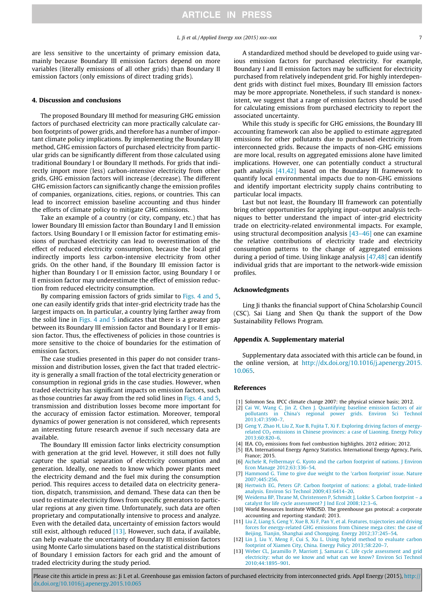<span id="page-6-0"></span>are less sensitive to the uncertainty of primary emission data, mainly because Boundary III emission factors depend on more variables (literally emissions of all other grids) than Boundary II emission factors (only emissions of direct trading grids).

#### 4. Discussion and conclusions

The proposed Boundary III method for measuring GHG emission factors of purchased electricity can more practically calculate carbon footprints of power grids, and therefore has a number of important climate policy implications. By implementing the Boundary III method, GHG emission factors of purchased electricity from particular grids can be significantly different from those calculated using traditional Boundary I or Boundary II methods. For grids that indirectly import more (less) carbon-intensive electricity from other grids, GHG emission factors will increase (decrease). The different GHG emission factors can significantly change the emission profiles of companies, organizations, cities, regions, or countries. This can lead to incorrect emission baseline accounting and thus hinder the efforts of climate policy to mitigate GHG emissions.

Take an example of a country (or city, company, etc.) that has lower Boundary III emission factor than Boundary I and II emission factors. Using Boundary I or II emission factor for estimating emissions of purchased electricity can lead to overestimation of the effect of reduced electricity consumption, because the local grid indirectly imports less carbon-intensive electricity from other grids. On the other hand, if the Boundary III emission factor is higher than Boundary I or II emission factor, using Boundary I or II emission factor may underestimate the effect of emission reduction from reduced electricity consumption.

By comparing emission factors of grids similar to [Figs. 4 and 5,](#page-3-0) one can easily identify grids that inter-grid electricity trade has the largest impacts on. In particular, a country lying farther away from the solid line in [Figs. 4 and 5](#page-3-0) indicates that there is a greater gap between its Boundary III emission factor and Boundary I or II emission factor. Thus, the effectiveness of policies in those countries is more sensitive to the choice of boundaries for the estimation of emission factors.

The case studies presented in this paper do not consider transmission and distribution losses, given the fact that traded electricity is generally a small fraction of the total electricity generation or consumption in regional grids in the case studies. However, when traded electricity has significant impacts on emission factors, such as those countries far away from the red solid lines in [Figs. 4 and 5,](#page-3-0) transmission and distribution losses become more important for the accuracy of emission factor estimation. Moreover, temporal dynamics of power generation is not considered, which represents an interesting future research avenue if such necessary data are available.

The Boundary III emission factor links electricity consumption with generation at the grid level. However, it still does not fully capture the spatial separation of electricity consumption and generation. Ideally, one needs to know which power plants meet the electricity demand and the fuel mix during the consumption period. This requires access to detailed data on electricity generation, dispatch, transmission, and demand. These data can then be used to estimate electricity flows from specific generators to particular regions at any given time. Unfortunately, such data are often proprietary and computationally intensive to process and analyze. Even with the detailed data, uncertainty of emission factors would still exist, although reduced  $[13]$ . However, such data, if available, can help evaluate the uncertainty of Boundary III emission factors using Monte Carlo simulations based on the statistical distributions of Boundary I emission factors for each grid and the amount of traded electricity during the study period.

A standardized method should be developed to guide using various emission factors for purchased electricity. For example, Boundary I and II emission factors may be sufficient for electricity purchased from relatively independent grid. For highly interdependent grids with distinct fuel mixes, Boundary III emission factors may be more appropriate. Nonetheless, if such standard is nonexistent, we suggest that a range of emission factors should be used for calculating emissions from purchased electricity to report the associated uncertainty.

While this study is specific for GHG emissions, the Boundary III accounting framework can also be applied to estimate aggregated emissions for other pollutants due to purchased electricity from interconnected grids. Because the impacts of non-GHG emissions are more local, results on aggregated emissions alone have limited implications. However, one can potentially conduct a structural path analysis [\[41,42\]](#page-7-0) based on the Boundary III framework to quantify local environmental impacts due to non-GHG emissions and identify important electricity supply chains contributing to particular local impacts.

Last but not least, the Boundary III framework can potentially bring other opportunities for applying input–output analysis techniques to better understand the impact of inter-grid electricity trade on electricity-related environmental impacts. For example, using structural decomposition analysis [\[43–46\]](#page-7-0) one can examine the relative contributions of electricity trade and electricity consumption patterns to the change of aggregated emissions during a period of time. Using linkage analysis [\[47,48\]](#page-7-0) can identify individual grids that are important to the network-wide emission profiles.

### Acknowledgments

Ling Ji thanks the financial support of China Scholarship Council (CSC). Sai Liang and Shen Qu thank the support of the Dow Sustainability Fellows Program.

### Appendix A. Supplementary material

Supplementary data associated with this article can be found, in the online version, at [http://dx.doi.org/10.1016/j.apenergy.2015.](http://dx.doi.org/10.1016/j.apenergy.2015.10.065) [10.065](http://dx.doi.org/10.1016/j.apenergy.2015.10.065).

#### References

- [1] Solomon Sea. IPCC climate change 2007: the physical science basis; 2012.
- [2] [Cai W, Wang C, Jin Z, Chen J. Quantifying baseline emission factors of air](http://refhub.elsevier.com/S0306-2619(15)01292-1/h0010) [pollutants in China's regional power grids. Environ Sci Technol](http://refhub.elsevier.com/S0306-2619(15)01292-1/h0010) [2013;47:3590–7.](http://refhub.elsevier.com/S0306-2619(15)01292-1/h0010)
- [3] [Geng Y, Zhao H, Liu Z, Xue B, Fujita T, Xi F. Exploring driving factors of energy](http://refhub.elsevier.com/S0306-2619(15)01292-1/h0015)related  $CO<sub>2</sub>$  [emissions in Chinese provinces: a case of Liaoning. Energy Policy](http://refhub.elsevier.com/S0306-2619(15)01292-1/h0015) [2013;60:820–6.](http://refhub.elsevier.com/S0306-2619(15)01292-1/h0015)
- [4] IEA. CO<sub>2</sub> emissions from fuel combustion highlights. 2012 edition; 2012.
- [5] IEA. International Energy Agency Statistics. International Energy Agency, Paris, France; 2015.
- [6] [Aichele R, Felbermayr G. Kyoto and the carbon footprint of nations. J Environ](http://refhub.elsevier.com/S0306-2619(15)01292-1/h0030) [Econ Manage 2012;63:336–54](http://refhub.elsevier.com/S0306-2619(15)01292-1/h0030).
- [7] [Hammond G. Time to give due weight to the 'carbon footprint' issue. Nature](http://refhub.elsevier.com/S0306-2619(15)01292-1/h0035) [2007;445:256](http://refhub.elsevier.com/S0306-2619(15)01292-1/h0035).
- [8] [Hertwich EG, Peters GP. Carbon footprint of nations: a global, trade-linked](http://refhub.elsevier.com/S0306-2619(15)01292-1/h0040) [analysis. Environ Sci Technol 2009;43:6414–20.](http://refhub.elsevier.com/S0306-2619(15)01292-1/h0040)
- [9] [Weidema BP, Thrane M, Christensen P, Schmidt J, Lokke S. Carbon footprint a](http://refhub.elsevier.com/S0306-2619(15)01292-1/h0045) [catalyst for life cycle assessment? J Ind Ecol 2008;12:3–6](http://refhub.elsevier.com/S0306-2619(15)01292-1/h0045).
- [10] World Resources Institute WBCfSD. The greenhouse gas protocal: a corporate accounting and reporting standard; 2013.
- [11] [Liu Z, Liang S, Geng Y, Xue B, Xi F, Pan Y, et al. Features, trajectories and driving](http://refhub.elsevier.com/S0306-2619(15)01292-1/h0055) [forces for energy-related GHG emissions from Chinese mega cites: the case of](http://refhub.elsevier.com/S0306-2619(15)01292-1/h0055) [Beijing, Tianjin, Shanghai and Chongqing. Energy 2012;37:245–54.](http://refhub.elsevier.com/S0306-2619(15)01292-1/h0055)
- [12] [Lin J, Liu Y, Meng F, Cui S, Xu L. Using hybrid method to evaluate carbon](http://refhub.elsevier.com/S0306-2619(15)01292-1/h0060) [footprint of Xiamen City, China. Energy Policy 2013;58:220–7.](http://refhub.elsevier.com/S0306-2619(15)01292-1/h0060)
- [13] [Weber CL, Jaramillo P, Marriott J, Samaras C. Life cycle assessment and grid](http://refhub.elsevier.com/S0306-2619(15)01292-1/h0065) [electricity: what do we know and what can we know? Environ Sci Technol](http://refhub.elsevier.com/S0306-2619(15)01292-1/h0065) [2010;44:1895–901](http://refhub.elsevier.com/S0306-2619(15)01292-1/h0065).